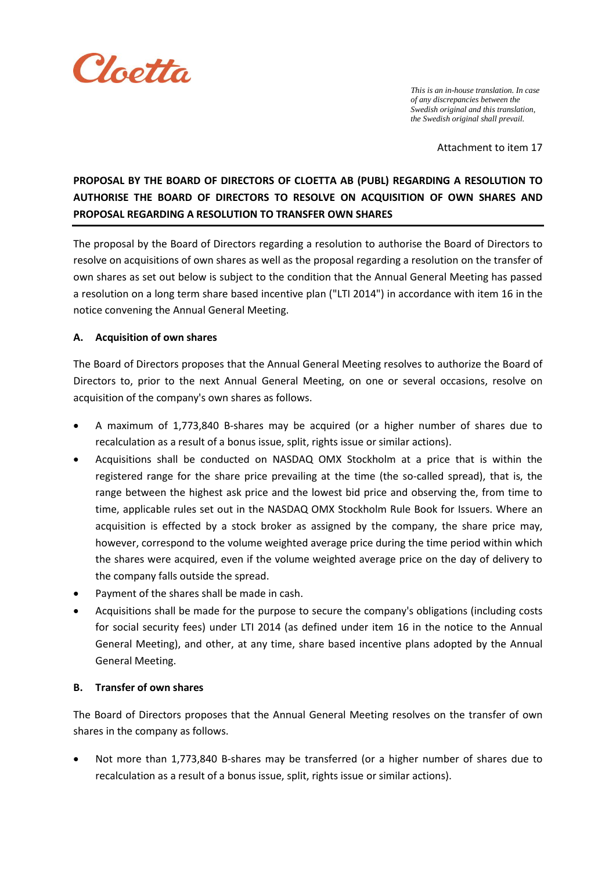

*This is an in-house translation. In case of any discrepancies between the Swedish original and this translation, the Swedish original shall prevail.*

Attachment to item 17

## **PROPOSAL BY THE BOARD OF DIRECTORS OF CLOETTA AB (PUBL) REGARDING A RESOLUTION TO AUTHORISE THE BOARD OF DIRECTORS TO RESOLVE ON ACQUISITION OF OWN SHARES AND PROPOSAL REGARDING A RESOLUTION TO TRANSFER OWN SHARES**

The proposal by the Board of Directors regarding a resolution to authorise the Board of Directors to resolve on acquisitions of own shares as well as the proposal regarding a resolution on the transfer of own shares as set out below is subject to the condition that the Annual General Meeting has passed a resolution on a long term share based incentive plan ("LTI 2014") in accordance with item 16 in the notice convening the Annual General Meeting.

## **A. Acquisition of own shares**

The Board of Directors proposes that the Annual General Meeting resolves to authorize the Board of Directors to, prior to the next Annual General Meeting, on one or several occasions, resolve on acquisition of the company's own shares as follows.

- A maximum of 1,773,840 B-shares may be acquired (or a higher number of shares due to recalculation as a result of a bonus issue, split, rights issue or similar actions).
- Acquisitions shall be conducted on NASDAQ OMX Stockholm at a price that is within the registered range for the share price prevailing at the time (the so-called spread), that is, the range between the highest ask price and the lowest bid price and observing the, from time to time, applicable rules set out in the NASDAQ OMX Stockholm Rule Book for Issuers. Where an acquisition is effected by a stock broker as assigned by the company, the share price may, however, correspond to the volume weighted average price during the time period within which the shares were acquired, even if the volume weighted average price on the day of delivery to the company falls outside the spread.
- Payment of the shares shall be made in cash.
- Acquisitions shall be made for the purpose to secure the company's obligations (including costs for social security fees) under LTI 2014 (as defined under item 16 in the notice to the Annual General Meeting), and other, at any time, share based incentive plans adopted by the Annual General Meeting.

## **B. Transfer of own shares**

The Board of Directors proposes that the Annual General Meeting resolves on the transfer of own shares in the company as follows.

 Not more than 1,773,840 B-shares may be transferred (or a higher number of shares due to recalculation as a result of a bonus issue, split, rights issue or similar actions).